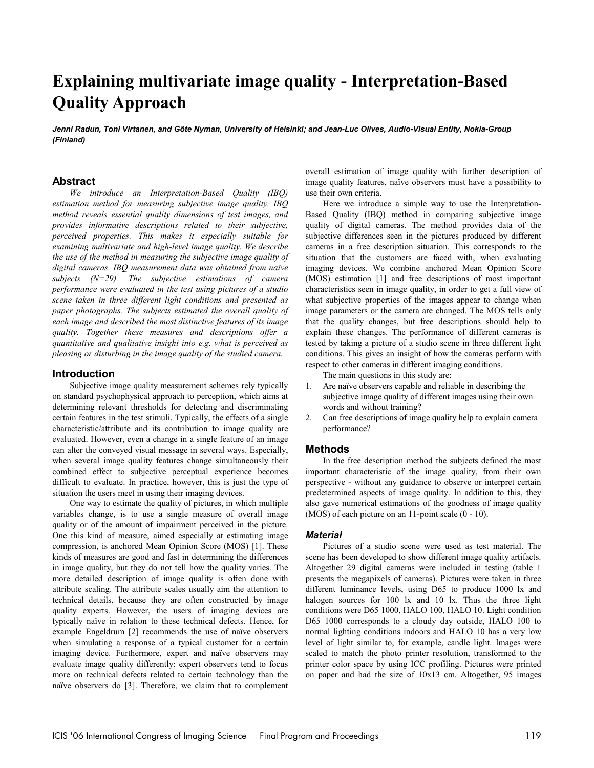# **Explaining multivariate image quality - Interpretation-Based Quality Approach**

Jenni Radun, Toni Virtanen, and Göte Nyman, University of Helsinki; and Jean-Luc Olives, Audio-Visual Entity, Nokia-Group *(Finland)* 

## **Abstract**

*We introduce an Interpretation-Based Quality (IBQ) estimation method for measuring subjective image quality. IBQ method reveals essential quality dimensions of test images, and provides informative descriptions related to their subjective, perceived properties. This makes it especially suitable for examining multivariate and high-level image quality. We describe the use of the method in measuring the subjective image quality of*  digital cameras. IBQ measurement data was obtained from naïve *subjects (N=29). The subjective estimations of camera performance were evaluated in the test using pictures of a studio scene taken in three different light conditions and presented as paper photographs. The subjects estimated the overall quality of each image and described the most distinctive features of its image quality. Together these measures and descriptions offer a quantitative and qualitative insight into e.g. what is perceived as pleasing or disturbing in the image quality of the studied camera.* 

## **Introduction**

Subjective image quality measurement schemes rely typically on standard psychophysical approach to perception, which aims at determining relevant thresholds for detecting and discriminating certain features in the test stimuli. Typically, the effects of a single characteristic/attribute and its contribution to image quality are evaluated. However, even a change in a single feature of an image can alter the conveyed visual message in several ways. Especially, when several image quality features change simultaneously their combined effect to subjective perceptual experience becomes difficult to evaluate. In practice, however, this is just the type of situation the users meet in using their imaging devices.

One way to estimate the quality of pictures, in which multiple variables change, is to use a single measure of overall image quality or of the amount of impairment perceived in the picture. One this kind of measure, aimed especially at estimating image compression, is anchored Mean Opinion Score (MOS) [1]. These kinds of measures are good and fast in determining the differences in image quality, but they do not tell how the quality varies. The more detailed description of image quality is often done with attribute scaling. The attribute scales usually aim the attention to technical details, because they are often constructed by image quality experts. However, the users of imaging devices are typically naïve in relation to these technical defects. Hence, for example Engeldrum [2] recommends the use of naïve observers when simulating a response of a typical customer for a certain imaging device. Furthermore, expert and naïve observers may evaluate image quality differently: expert observers tend to focus more on technical defects related to certain technology than the naïve observers do [3]. Therefore, we claim that to complement

overall estimation of image quality with further description of image quality features, naïve observers must have a possibility to use their own criteria.

Here we introduce a simple way to use the Interpretation-Based Quality (IBQ) method in comparing subjective image quality of digital cameras. The method provides data of the subjective differences seen in the pictures produced by different cameras in a free description situation. This corresponds to the situation that the customers are faced with, when evaluating imaging devices. We combine anchored Mean Opinion Score (MOS) estimation [1] and free descriptions of most important characteristics seen in image quality, in order to get a full view of what subjective properties of the images appear to change when image parameters or the camera are changed. The MOS tells only that the quality changes, but free descriptions should help to explain these changes. The performance of different cameras is tested by taking a picture of a studio scene in three different light conditions. This gives an insight of how the cameras perform with respect to other cameras in different imaging conditions.

The main questions in this study are:

- 1. Are naïve observers capable and reliable in describing the subjective image quality of different images using their own words and without training?
- 2. Can free descriptions of image quality help to explain camera performance?

#### **Methods**

In the free description method the subjects defined the most important characteristic of the image quality, from their own perspective - without any guidance to observe or interpret certain predetermined aspects of image quality. In addition to this, they also gave numerical estimations of the goodness of image quality (MOS) of each picture on an 11-point scale (0 - 10).

#### *Material*

Pictures of a studio scene were used as test material. The scene has been developed to show different image quality artifacts. Altogether 29 digital cameras were included in testing (table 1 presents the megapixels of cameras). Pictures were taken in three different luminance levels, using D65 to produce 1000 lx and halogen sources for 100 lx and 10 lx. Thus the three light conditions were D65 1000, HALO 100, HALO 10. Light condition D65 1000 corresponds to a cloudy day outside, HALO 100 to normal lighting conditions indoors and HALO 10 has a very low level of light similar to, for example, candle light. Images were scaled to match the photo printer resolution, transformed to the printer color space by using ICC profiling. Pictures were printed on paper and had the size of 10x13 cm. Altogether, 95 images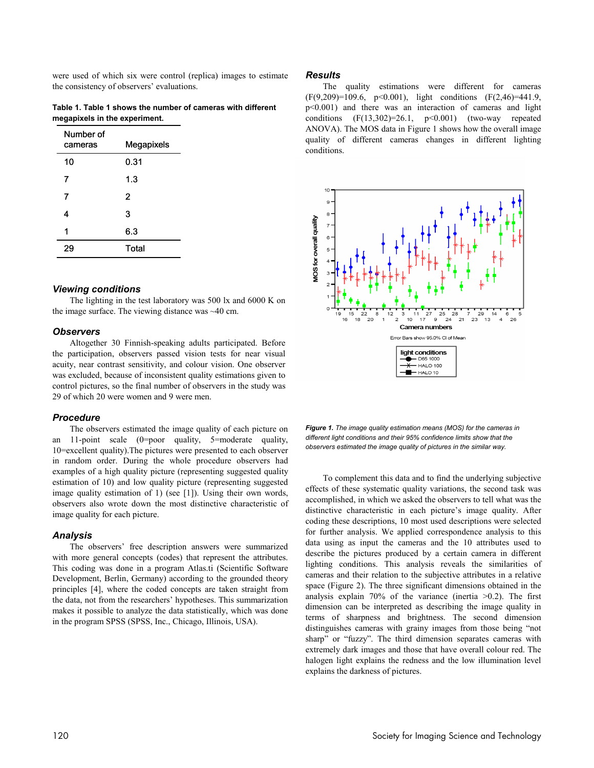were used of which six were control (replica) images to estimate the consistency of observers' evaluations.

**Table 1. Table 1 shows the number of cameras with different megapixels in the experiment.** 

| Number of<br>cameras | Megapixels |  |
|----------------------|------------|--|
| 10                   | 0.31       |  |
| 7                    | 1.3        |  |
| 7                    | 2          |  |
| 4                    | 3          |  |
| 1                    | 6.3        |  |
| 29                   | Total      |  |

#### *Viewing conditions*

The lighting in the test laboratory was 500 lx and 6000 K on the image surface. The viewing distance was ~40 cm.

#### *Observers*

Altogether 30 Finnish-speaking adults participated. Before the participation, observers passed vision tests for near visual acuity, near contrast sensitivity, and colour vision. One observer was excluded, because of inconsistent quality estimations given to control pictures, so the final number of observers in the study was 29 of which 20 were women and 9 were men.

## *Procedure*

The observers estimated the image quality of each picture on an 11-point scale (0=poor quality, 5=moderate quality, 10=excellent quality).The pictures were presented to each observer in random order. During the whole procedure observers had examples of a high quality picture (representing suggested quality estimation of 10) and low quality picture (representing suggested image quality estimation of 1) (see [1]). Using their own words, observers also wrote down the most distinctive characteristic of image quality for each picture.

## *Analysis*

The observers' free description answers were summarized with more general concepts (codes) that represent the attributes. This coding was done in a program Atlas.ti (Scientific Software Development, Berlin, Germany) according to the grounded theory principles [4], where the coded concepts are taken straight from the data, not from the researchers' hypotheses. This summarization makes it possible to analyze the data statistically, which was done in the program SPSS (SPSS, Inc., Chicago, Illinois, USA).

#### *Results*

The quality estimations were different for cameras (F(9,209)=109.6, p<0.001), light conditions (F(2,46)=441.9, p<0.001) and there was an interaction of cameras and light conditions  $(F(13,302)=26.1, p<0.001)$  (two-way repeated ANOVA). The MOS data in Figure 1 shows how the overall image quality of different cameras changes in different lighting conditions.



*Figure 1. The image quality estimation means (MOS) for the cameras in different light conditions and their 95% confidence limits show that the observers estimated the image quality of pictures in the similar way.* 

To complement this data and to find the underlying subjective effects of these systematic quality variations, the second task was accomplished, in which we asked the observers to tell what was the distinctive characteristic in each picture's image quality. After coding these descriptions, 10 most used descriptions were selected for further analysis. We applied correspondence analysis to this data using as input the cameras and the 10 attributes used to describe the pictures produced by a certain camera in different lighting conditions. This analysis reveals the similarities of cameras and their relation to the subjective attributes in a relative space (Figure 2). The three significant dimensions obtained in the analysis explain  $70\%$  of the variance (inertia  $>0.2$ ). The first dimension can be interpreted as describing the image quality in terms of sharpness and brightness. The second dimension distinguishes cameras with grainy images from those being "not sharp" or "fuzzy". The third dimension separates cameras with extremely dark images and those that have overall colour red. The halogen light explains the redness and the low illumination level explains the darkness of pictures.